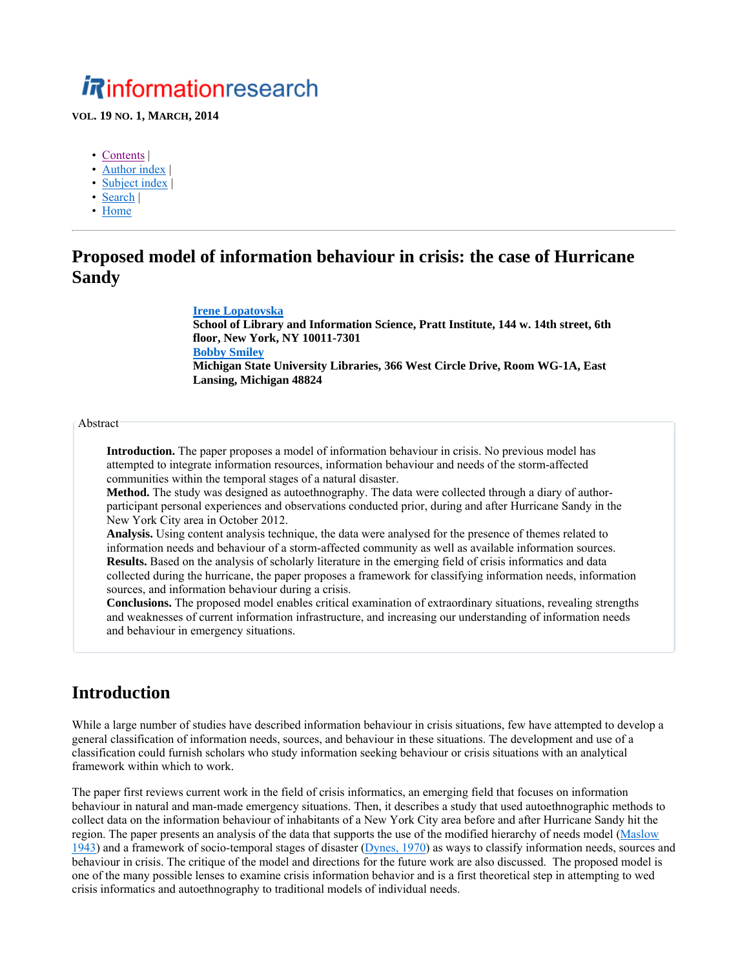# *i R*informationresearch

#### **VOL. 19 NO. 1, MARCH, 2014**

- Contents |
- Author index |
- Subject index |
- Search |
- Home

# **Proposed model of information behaviour in crisis: the case of Hurricane Sandy**

#### **Irene Lopatovska**

**School of Library and Information Science, Pratt Institute, 144 w. 14th street, 6th floor, New York, NY 10011-7301 Bobby Smiley Michigan State University Libraries, 366 West Circle Drive, Room WG-1A, East Lansing, Michigan 48824**

### Abstract

**Introduction.** The paper proposes a model of information behaviour in crisis. No previous model has attempted to integrate information resources, information behaviour and needs of the storm-affected communities within the temporal stages of a natural disaster.

**Method.** The study was designed as autoethnography. The data were collected through a diary of authorparticipant personal experiences and observations conducted prior, during and after Hurricane Sandy in the New York City area in October 2012.

**Analysis.** Using content analysis technique, the data were analysed for the presence of themes related to information needs and behaviour of a storm-affected community as well as available information sources. **Results.** Based on the analysis of scholarly literature in the emerging field of crisis informatics and data collected during the hurricane, the paper proposes a framework for classifying information needs, information sources, and information behaviour during a crisis.

**Conclusions.** The proposed model enables critical examination of extraordinary situations, revealing strengths and weaknesses of current information infrastructure, and increasing our understanding of information needs and behaviour in emergency situations.

# **Introduction**

While a large number of studies have described information behaviour in crisis situations, few have attempted to develop a general classification of information needs, sources, and behaviour in these situations. The development and use of a classification could furnish scholars who study information seeking behaviour or crisis situations with an analytical framework within which to work.

The paper first reviews current work in the field of crisis informatics, an emerging field that focuses on information behaviour in natural and man-made emergency situations. Then, it describes a study that used autoethnographic methods to collect data on the information behaviour of inhabitants of a New York City area before and after Hurricane Sandy hit the region. The paper presents an analysis of the data that supports the use of the modified hierarchy of needs model (Maslow 1943) and a framework of socio-temporal stages of disaster (Dynes, 1970) as ways to classify information needs, sources and behaviour in crisis. The critique of the model and directions for the future work are also discussed. The proposed model is one of the many possible lenses to examine crisis information behavior and is a first theoretical step in attempting to wed crisis informatics and autoethnography to traditional models of individual needs.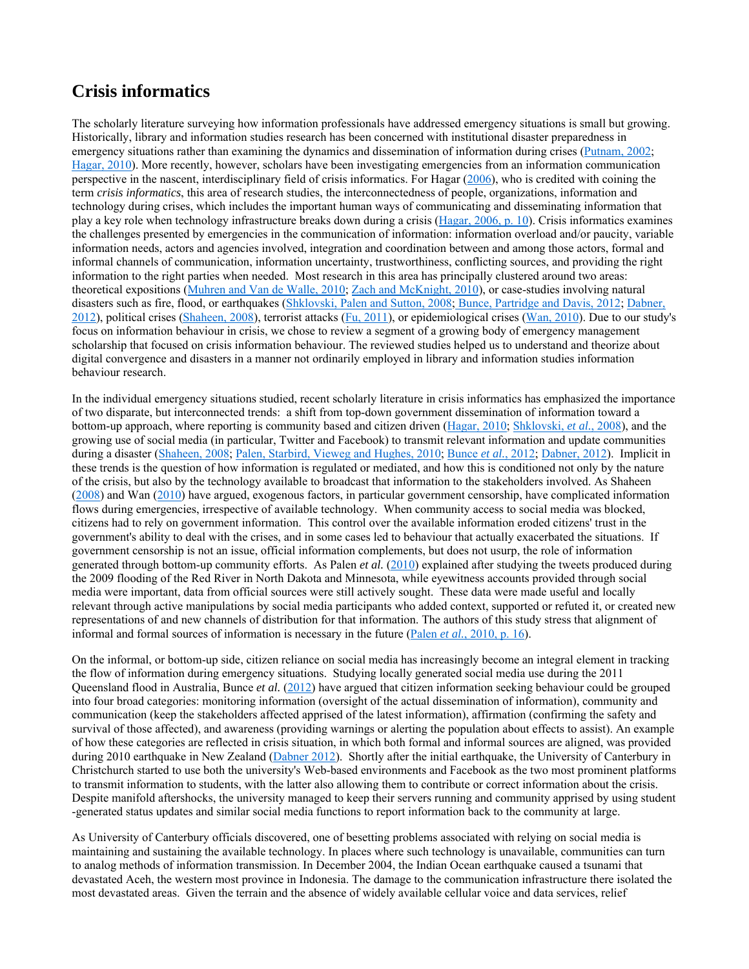# **Crisis informatics**

The scholarly literature surveying how information professionals have addressed emergency situations is small but growing. Historically, library and information studies research has been concerned with institutional disaster preparedness in emergency situations rather than examining the dynamics and dissemination of information during crises (Putnam, 2002; Hagar, 2010). More recently, however, scholars have been investigating emergencies from an information communication perspective in the nascent, interdisciplinary field of crisis informatics. For Hagar  $(2006)$ , who is credited with coining the term *crisis informatics*, this area of research studies, the interconnectedness of people, organizations, information and technology during crises, which includes the important human ways of communicating and disseminating information that play a key role when technology infrastructure breaks down during a crisis (Hagar, 2006, p. 10). Crisis informatics examines the challenges presented by emergencies in the communication of information: information overload and/or paucity, variable information needs, actors and agencies involved, integration and coordination between and among those actors, formal and informal channels of communication, information uncertainty, trustworthiness, conflicting sources, and providing the right information to the right parties when needed. Most research in this area has principally clustered around two areas: theoretical expositions (Muhren and Van de Walle, 2010; Zach and McKnight, 2010), or case-studies involving natural disasters such as fire, flood, or earthquakes (Shklovski, Palen and Sutton, 2008; Bunce, Partridge and Davis, 2012; Dabner, 2012), political crises (Shaheen, 2008), terrorist attacks (Fu, 2011), or epidemiological crises (Wan, 2010). Due to our study's focus on information behaviour in crisis, we chose to review a segment of a growing body of emergency management scholarship that focused on crisis information behaviour. The reviewed studies helped us to understand and theorize about digital convergence and disasters in a manner not ordinarily employed in library and information studies information behaviour research.

In the individual emergency situations studied, recent scholarly literature in crisis informatics has emphasized the importance of two disparate, but interconnected trends: a shift from top-down government dissemination of information toward a bottom-up approach, where reporting is community based and citizen driven (Hagar, 2010; Shklovski, *et al.*, 2008), and the growing use of social media (in particular, Twitter and Facebook) to transmit relevant information and update communities during a disaster (Shaheen, 2008; Palen, Starbird, Vieweg and Hughes, 2010; Bunce *et al.*, 2012; Dabner, 2012). Implicit in these trends is the question of how information is regulated or mediated, and how this is conditioned not only by the nature of the crisis, but also by the technology available to broadcast that information to the stakeholders involved. As Shaheen (2008) and Wan (2010) have argued, exogenous factors, in particular government censorship, have complicated information flows during emergencies, irrespective of available technology. When community access to social media was blocked, citizens had to rely on government information. This control over the available information eroded citizens' trust in the government's ability to deal with the crises, and in some cases led to behaviour that actually exacerbated the situations. If government censorship is not an issue, official information complements, but does not usurp, the role of information generated through bottom-up community efforts. As Palen *et al.* (2010) explained after studying the tweets produced during the 2009 flooding of the Red River in North Dakota and Minnesota, while eyewitness accounts provided through social media were important, data from official sources were still actively sought. These data were made useful and locally relevant through active manipulations by social media participants who added context, supported or refuted it, or created new representations of and new channels of distribution for that information. The authors of this study stress that alignment of informal and formal sources of information is necessary in the future (Palen *et al.*, 2010, p. 16).

On the informal, or bottom-up side, citizen reliance on social media has increasingly become an integral element in tracking the flow of information during emergency situations. Studying locally generated social media use during the 2011 Queensland flood in Australia, Bunce *et al.* (2012) have argued that citizen information seeking behaviour could be grouped into four broad categories: monitoring information (oversight of the actual dissemination of information), community and communication (keep the stakeholders affected apprised of the latest information), affirmation (confirming the safety and survival of those affected), and awareness (providing warnings or alerting the population about effects to assist). An example of how these categories are reflected in crisis situation, in which both formal and informal sources are aligned, was provided during 2010 earthquake in New Zealand (Dabner 2012). Shortly after the initial earthquake, the University of Canterbury in Christchurch started to use both the university's Web-based environments and Facebook as the two most prominent platforms to transmit information to students, with the latter also allowing them to contribute or correct information about the crisis. Despite manifold aftershocks, the university managed to keep their servers running and community apprised by using student -generated status updates and similar social media functions to report information back to the community at large.

As University of Canterbury officials discovered, one of besetting problems associated with relying on social media is maintaining and sustaining the available technology. In places where such technology is unavailable, communities can turn to analog methods of information transmission. In December 2004, the Indian Ocean earthquake caused a tsunami that devastated Aceh, the western most province in Indonesia. The damage to the communication infrastructure there isolated the most devastated areas. Given the terrain and the absence of widely available cellular voice and data services, relief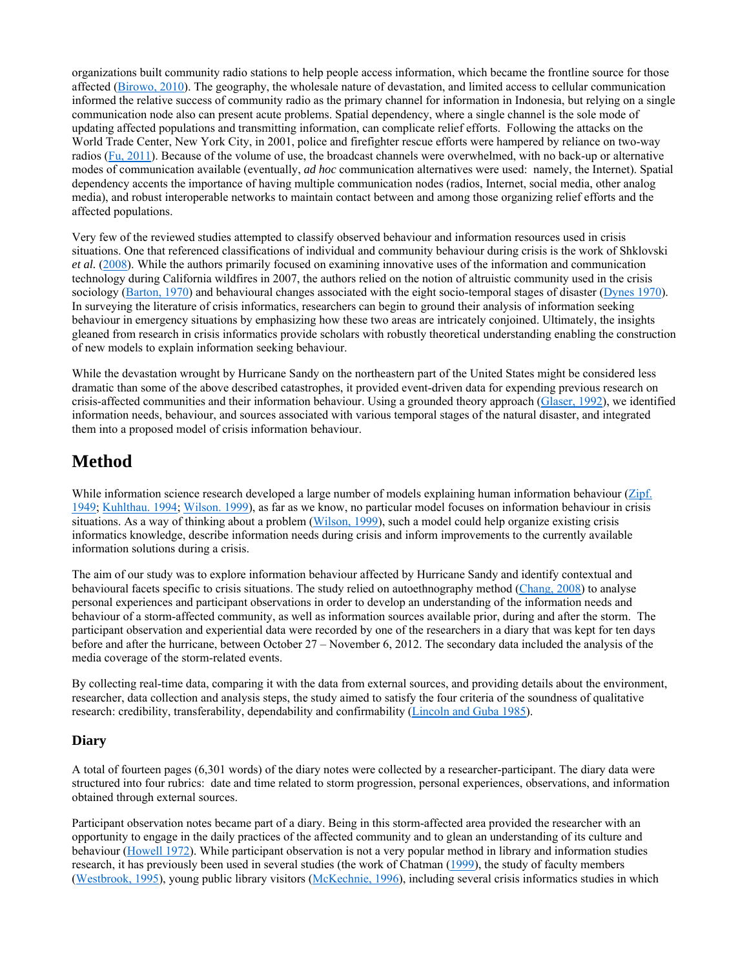organizations built community radio stations to help people access information, which became the frontline source for those affected (Birowo, 2010). The geography, the wholesale nature of devastation, and limited access to cellular communication informed the relative success of community radio as the primary channel for information in Indonesia, but relying on a single communication node also can present acute problems. Spatial dependency, where a single channel is the sole mode of updating affected populations and transmitting information, can complicate relief efforts. Following the attacks on the World Trade Center, New York City, in 2001, police and firefighter rescue efforts were hampered by reliance on two-way radios  $(F_{u}, 2011)$ . Because of the volume of use, the broadcast channels were overwhelmed, with no back-up or alternative modes of communication available (eventually, *ad hoc* communication alternatives were used: namely, the Internet). Spatial dependency accents the importance of having multiple communication nodes (radios, Internet, social media, other analog media), and robust interoperable networks to maintain contact between and among those organizing relief efforts and the affected populations.

Very few of the reviewed studies attempted to classify observed behaviour and information resources used in crisis situations. One that referenced classifications of individual and community behaviour during crisis is the work of Shklovski *et al.* (2008). While the authors primarily focused on examining innovative uses of the information and communication technology during California wildfires in 2007, the authors relied on the notion of altruistic community used in the crisis sociology (Barton, 1970) and behavioural changes associated with the eight socio-temporal stages of disaster (Dynes 1970). In surveying the literature of crisis informatics, researchers can begin to ground their analysis of information seeking behaviour in emergency situations by emphasizing how these two areas are intricately conjoined. Ultimately, the insights gleaned from research in crisis informatics provide scholars with robustly theoretical understanding enabling the construction of new models to explain information seeking behaviour.

While the devastation wrought by Hurricane Sandy on the northeastern part of the United States might be considered less dramatic than some of the above described catastrophes, it provided event-driven data for expending previous research on crisis-affected communities and their information behaviour. Using a grounded theory approach (Glaser, 1992), we identified information needs, behaviour, and sources associated with various temporal stages of the natural disaster, and integrated them into a proposed model of crisis information behaviour.

# **Method**

While information science research developed a large number of models explaining human information behaviour (Zipf. 1949; Kuhlthau. 1994; Wilson. 1999), as far as we know, no particular model focuses on information behaviour in crisis situations. As a way of thinking about a problem (Wilson, 1999), such a model could help organize existing crisis informatics knowledge, describe information needs during crisis and inform improvements to the currently available information solutions during a crisis.

The aim of our study was to explore information behaviour affected by Hurricane Sandy and identify contextual and behavioural facets specific to crisis situations. The study relied on autoethnography method (Chang, 2008) to analyse personal experiences and participant observations in order to develop an understanding of the information needs and behaviour of a storm-affected community, as well as information sources available prior, during and after the storm. The participant observation and experiential data were recorded by one of the researchers in a diary that was kept for ten days before and after the hurricane, between October 27 – November 6, 2012. The secondary data included the analysis of the media coverage of the storm-related events.

By collecting real-time data, comparing it with the data from external sources, and providing details about the environment, researcher, data collection and analysis steps, the study aimed to satisfy the four criteria of the soundness of qualitative research: credibility, transferability, dependability and confirmability (Lincoln and Guba 1985).

## **Diary**

A total of fourteen pages (6,301 words) of the diary notes were collected by a researcher-participant. The diary data were structured into four rubrics: date and time related to storm progression, personal experiences, observations, and information obtained through external sources.

Participant observation notes became part of a diary. Being in this storm-affected area provided the researcher with an opportunity to engage in the daily practices of the affected community and to glean an understanding of its culture and behaviour (Howell 1972). While participant observation is not a very popular method in library and information studies research, it has previously been used in several studies (the work of Chatman (1999), the study of faculty members (Westbrook, 1995), young public library visitors (McKechnie, 1996), including several crisis informatics studies in which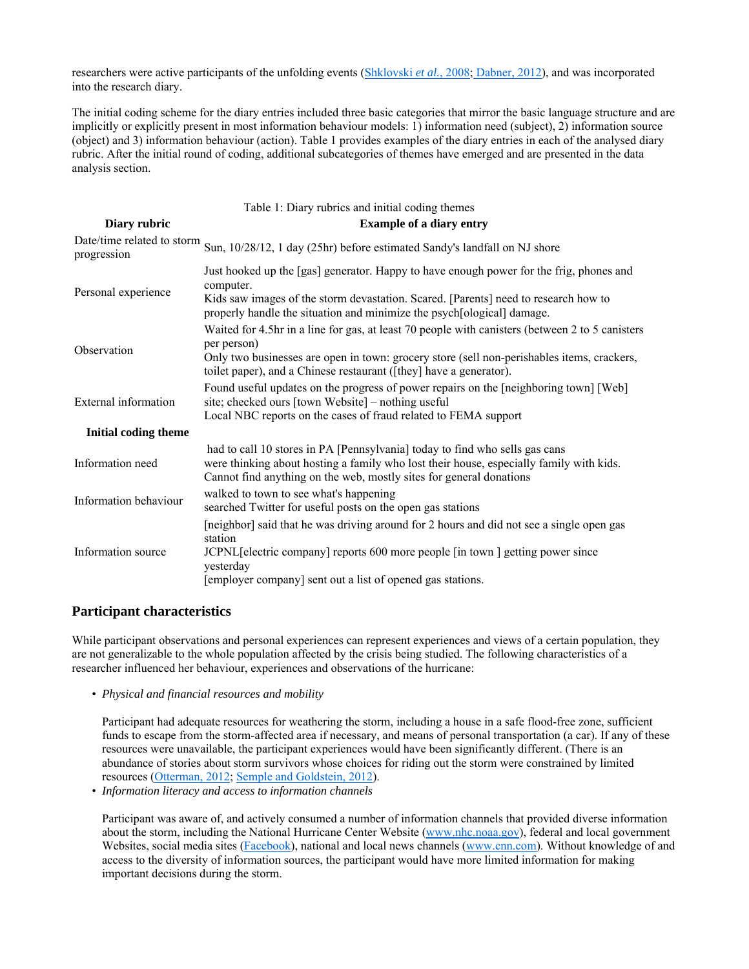researchers were active participants of the unfolding events (Shklovski *et al.*, 2008; Dabner, 2012), and was incorporated into the research diary.

The initial coding scheme for the diary entries included three basic categories that mirror the basic language structure and are implicitly or explicitly present in most information behaviour models: 1) information need (subject), 2) information source (object) and 3) information behaviour (action). Table 1 provides examples of the diary entries in each of the analysed diary rubric. After the initial round of coding, additional subcategories of themes have emerged and are presented in the data analysis section.

|                             | Table 1: Diary rubrics and initial coding themes                                                                                                                                                                                                                                   |  |  |
|-----------------------------|------------------------------------------------------------------------------------------------------------------------------------------------------------------------------------------------------------------------------------------------------------------------------------|--|--|
| Diary rubric                | <b>Example of a diary entry</b>                                                                                                                                                                                                                                                    |  |  |
| progression                 | Date/time related to storm Sun, 10/28/12, 1 day (25hr) before estimated Sandy's landfall on NJ shore                                                                                                                                                                               |  |  |
| Personal experience         | Just hooked up the [gas] generator. Happy to have enough power for the frig, phones and<br>computer.<br>Kids saw images of the storm devastation. Scared. [Parents] need to research how to<br>properly handle the situation and minimize the psych[ological] damage.              |  |  |
| Observation                 | Waited for 4.5hr in a line for gas, at least 70 people with canisters (between 2 to 5 canisters<br>per person)<br>Only two businesses are open in town: grocery store (sell non-perishables items, crackers,<br>toilet paper), and a Chinese restaurant ([they] have a generator). |  |  |
| External information        | Found useful updates on the progress of power repairs on the [neighboring town] [Web]<br>site; checked ours [town Website] – nothing useful<br>Local NBC reports on the cases of fraud related to FEMA support                                                                     |  |  |
| <b>Initial coding theme</b> |                                                                                                                                                                                                                                                                                    |  |  |
| Information need            | had to call 10 stores in PA [Pennsylvania] today to find who sells gas cans<br>were thinking about hosting a family who lost their house, especially family with kids.<br>Cannot find anything on the web, mostly sites for general donations                                      |  |  |
| Information behaviour       | walked to town to see what's happening<br>searched Twitter for useful posts on the open gas stations                                                                                                                                                                               |  |  |
| Information source          | [neighbor] said that he was driving around for 2 hours and did not see a single open gas<br>station<br>JCPNL [electric company] reports 600 more people [in town ] getting power since<br>yesterday<br>[employer company] sent out a list of opened gas stations.                  |  |  |

#### **Participant characteristics**

While participant observations and personal experiences can represent experiences and views of a certain population, they are not generalizable to the whole population affected by the crisis being studied. The following characteristics of a researcher influenced her behaviour, experiences and observations of the hurricane:

• *Physical and financial resources and mobility* 

Participant had adequate resources for weathering the storm, including a house in a safe flood-free zone, sufficient funds to escape from the storm-affected area if necessary, and means of personal transportation (a car). If any of these resources were unavailable, the participant experiences would have been significantly different. (There is an abundance of stories about storm survivors whose choices for riding out the storm were constrained by limited resources (Otterman, 2012; Semple and Goldstein, 2012).

• *Information literacy and access to information channels*

Participant was aware of, and actively consumed a number of information channels that provided diverse information about the storm, including the National Hurricane Center Website (www.nhc.noaa.gov), federal and local government Websites, social media sites (Facebook), national and local news channels (www.cnn.com). Without knowledge of and access to the diversity of information sources, the participant would have more limited information for making important decisions during the storm.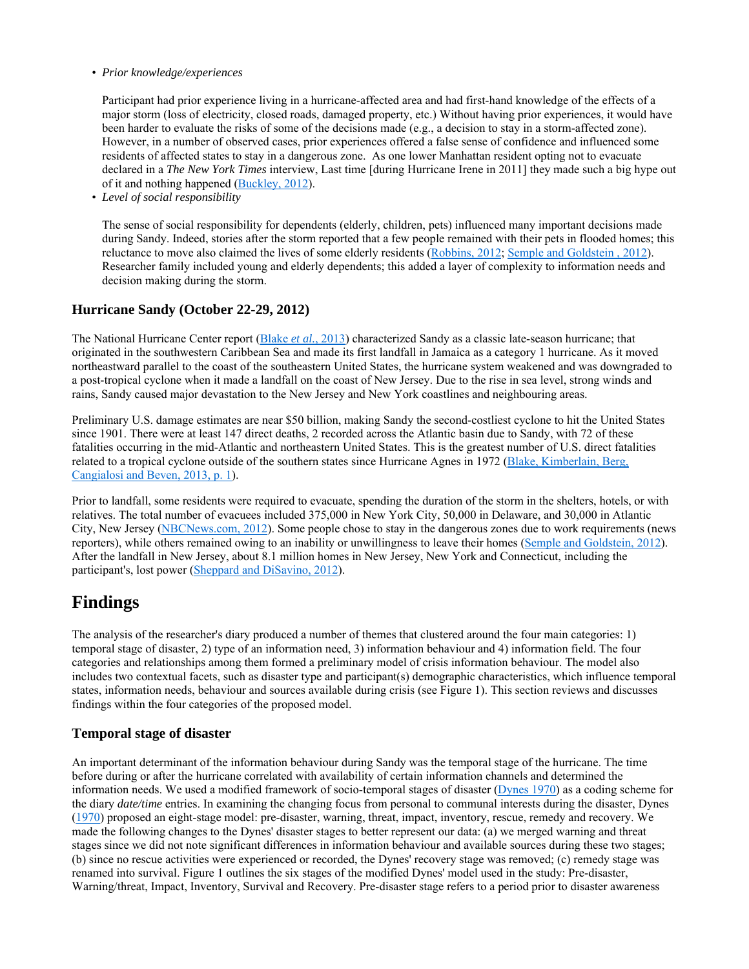#### • *Prior knowledge/experiences*

Participant had prior experience living in a hurricane-affected area and had first-hand knowledge of the effects of a major storm (loss of electricity, closed roads, damaged property, etc.) Without having prior experiences, it would have been harder to evaluate the risks of some of the decisions made (e.g., a decision to stay in a storm-affected zone). However, in a number of observed cases, prior experiences offered a false sense of confidence and influenced some residents of affected states to stay in a dangerous zone. As one lower Manhattan resident opting not to evacuate declared in a *The New York Times* interview, Last time [during Hurricane Irene in 2011] they made such a big hype out of it and nothing happened (Buckley, 2012).

• *Level of social responsibility*

The sense of social responsibility for dependents (elderly, children, pets) influenced many important decisions made during Sandy. Indeed, stories after the storm reported that a few people remained with their pets in flooded homes; this reluctance to move also claimed the lives of some elderly residents (Robbins, 2012; Semple and Goldstein , 2012). Researcher family included young and elderly dependents; this added a layer of complexity to information needs and decision making during the storm.

## **Hurricane Sandy (October 22-29, 2012)**

The National Hurricane Center report (Blake *et al.*, 2013) characterized Sandy as a classic late-season hurricane; that originated in the southwestern Caribbean Sea and made its first landfall in Jamaica as a category 1 hurricane. As it moved northeastward parallel to the coast of the southeastern United States, the hurricane system weakened and was downgraded to a post-tropical cyclone when it made a landfall on the coast of New Jersey. Due to the rise in sea level, strong winds and rains, Sandy caused major devastation to the New Jersey and New York coastlines and neighbouring areas.

Preliminary U.S. damage estimates are near \$50 billion, making Sandy the second-costliest cyclone to hit the United States since 1901. There were at least 147 direct deaths, 2 recorded across the Atlantic basin due to Sandy, with 72 of these fatalities occurring in the mid-Atlantic and northeastern United States. This is the greatest number of U.S. direct fatalities related to a tropical cyclone outside of the southern states since Hurricane Agnes in 1972 (Blake, Kimberlain, Berg, Cangialosi and Beven, 2013, p. 1).

Prior to landfall, some residents were required to evacuate, spending the duration of the storm in the shelters, hotels, or with relatives. The total number of evacuees included 375,000 in New York City, 50,000 in Delaware, and 30,000 in Atlantic City, New Jersey (NBCNews.com, 2012). Some people chose to stay in the dangerous zones due to work requirements (news reporters), while others remained owing to an inability or unwillingness to leave their homes (Semple and Goldstein, 2012). After the landfall in New Jersey, about 8.1 million homes in New Jersey, New York and Connecticut, including the participant's, lost power (Sheppard and DiSavino, 2012).

# **Findings**

The analysis of the researcher's diary produced a number of themes that clustered around the four main categories: 1) temporal stage of disaster, 2) type of an information need, 3) information behaviour and 4) information field. The four categories and relationships among them formed a preliminary model of crisis information behaviour. The model also includes two contextual facets, such as disaster type and participant(s) demographic characteristics, which influence temporal states, information needs, behaviour and sources available during crisis (see Figure 1). This section reviews and discusses findings within the four categories of the proposed model.

## **Temporal stage of disaster**

An important determinant of the information behaviour during Sandy was the temporal stage of the hurricane. The time before during or after the hurricane correlated with availability of certain information channels and determined the information needs. We used a modified framework of socio-temporal stages of disaster (Dynes 1970) as a coding scheme for the diary *date/time* entries. In examining the changing focus from personal to communal interests during the disaster, Dynes (1970) proposed an eight-stage model: pre-disaster, warning, threat, impact, inventory, rescue, remedy and recovery. We made the following changes to the Dynes' disaster stages to better represent our data: (a) we merged warning and threat stages since we did not note significant differences in information behaviour and available sources during these two stages; (b) since no rescue activities were experienced or recorded, the Dynes' recovery stage was removed; (c) remedy stage was renamed into survival. Figure 1 outlines the six stages of the modified Dynes' model used in the study: Pre-disaster, Warning/threat, Impact, Inventory, Survival and Recovery. Pre-disaster stage refers to a period prior to disaster awareness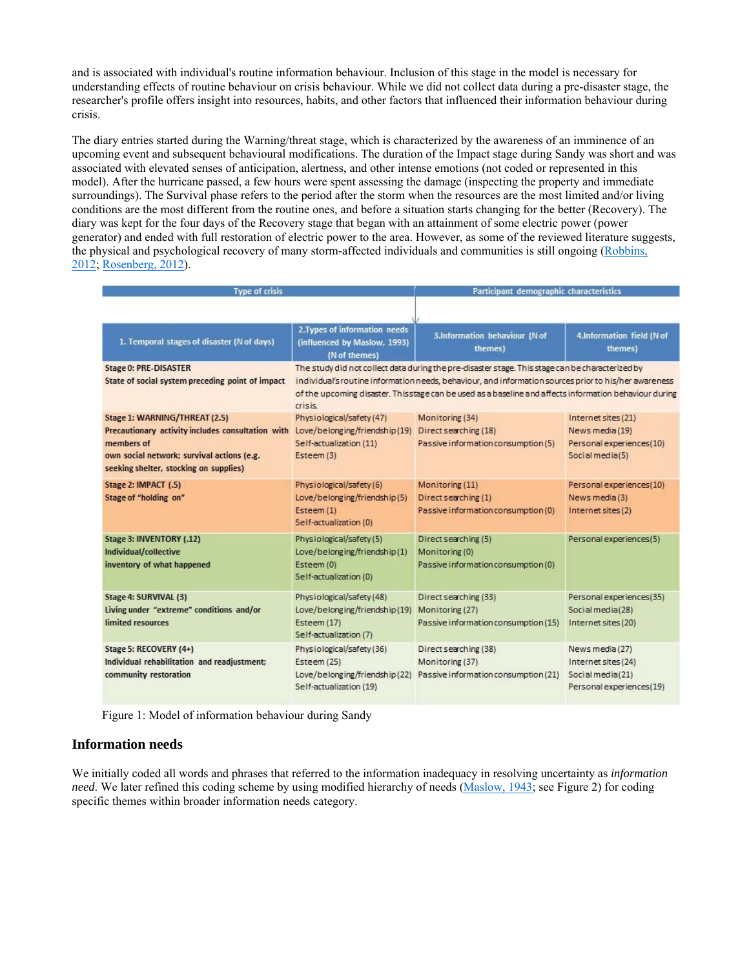and is associated with individual's routine information behaviour. Inclusion of this stage in the model is necessary for understanding effects of routine behaviour on crisis behaviour. While we did not collect data during a pre-disaster stage, the researcher's profile offers insight into resources, habits, and other factors that influenced their information behaviour during crisis.

The diary entries started during the Warning/threat stage, which is characterized by the awareness of an imminence of an upcoming event and subsequent behavioural modifications. The duration of the Impact stage during Sandy was short and was associated with elevated senses of anticipation, alertness, and other intense emotions (not coded or represented in this model). After the hurricane passed, a few hours were spent assessing the damage (inspecting the property and immediate surroundings). The Survival phase refers to the period after the storm when the resources are the most limited and/or living conditions are the most different from the routine ones, and before a situation starts changing for the better (Recovery). The diary was kept for the four days of the Recovery stage that began with an attainment of some electric power (power generator) and ended with full restoration of electric power to the area. However, as some of the reviewed literature suggests, the physical and psychological recovery of many storm-affected individuals and communities is still ongoing (Robbins, 2012; Rosenberg, 2012).

| <b>Type of crisis</b>                                                                              |                                                                                                      | Participant demographic characteristics                                                                                                                                                                                                                                                                              |                                                                                        |
|----------------------------------------------------------------------------------------------------|------------------------------------------------------------------------------------------------------|----------------------------------------------------------------------------------------------------------------------------------------------------------------------------------------------------------------------------------------------------------------------------------------------------------------------|----------------------------------------------------------------------------------------|
| 1. Temporal stages of disaster (N of days)                                                         | 2. Types of information needs<br>(influenced by Maslow, 1993)                                        | 3.Information behaviour (N of<br>themes)                                                                                                                                                                                                                                                                             | 4.Information field (N of<br>themes)                                                   |
|                                                                                                    | (N of themes)                                                                                        |                                                                                                                                                                                                                                                                                                                      |                                                                                        |
| <b>Stage 0: PRE-DISASTER</b><br>State of social system preceding point of impact                   | crisis                                                                                               | The study did not collect data during the pre-disaster stage. This stage can be characterized by<br>individual's routine information needs, behaviour, and information sources prior to his/her awareness<br>of the upcoming disaster. This stage can be used as a baseline and affects information behaviour during |                                                                                        |
| Stage 1: WARNING/THREAT (2.5)                                                                      | Physiological/safety (47)                                                                            | Monitoring (34)                                                                                                                                                                                                                                                                                                      | Internet sites (21)                                                                    |
| Precautionary activity includes consultation with Love/belonging/friendship(19)                    |                                                                                                      | Direct searching (18)                                                                                                                                                                                                                                                                                                | News media (19)                                                                        |
| members of<br>own social network; survival actions (e.g.<br>seeking shelter, stocking on supplies) | Self-actualization (11)<br>Esteem (3)                                                                | Passive information consumption (5)                                                                                                                                                                                                                                                                                  | Personal experiences(10)<br>Social media(5)                                            |
| Stage 2: IMPACT (.5)                                                                               | Physiological/safety (6)                                                                             | Monitoring (11)                                                                                                                                                                                                                                                                                                      | Personal experiences(10)                                                               |
| Stage of "holding on"                                                                              | Love/belonging/friendship(5)<br>Esteem (1)<br>Self-actualization (0)                                 | Direct searching (1)<br>Passive information consumption (0)                                                                                                                                                                                                                                                          | News media (3)<br>Internet sites (2)                                                   |
| Stage 3: INVENTORY (.12)<br>Individual/collective<br>inventory of what happened                    | Physiological/safety (5)<br>Love/belonging/friendship(1)<br>Esteem (0)<br>Self-actualization (0)     | Direct searching (5)<br>Monitoring (0)<br>Passive information consumption (0)                                                                                                                                                                                                                                        | Personal experiences(5)                                                                |
| Stage 4: SURVIVAL (3)                                                                              | Physiological/safety (48)                                                                            | Direct searching (33)                                                                                                                                                                                                                                                                                                | Personal experiences(35)                                                               |
| Living under "extreme" conditions and/or<br>limited resources                                      | Love/belonging/friendship(19) Monitoring (27)<br>Esteem (17)<br>Self-actualization (7)               | Passive information consumption (15)                                                                                                                                                                                                                                                                                 | Social media(28)<br>Internet sites (20)                                                |
| Stage 5: RECOVERY (4+)<br>Individual rehabilitation and readjustment;<br>community restoration     | Physiological/safety (36)<br>Esteem (25)<br>Love/belonging/friendship(22)<br>Self-actualization (19) | Direct searching (38)<br>Monitoring (37)<br>Passive information consumption (21)                                                                                                                                                                                                                                     | News media (27)<br>Internet sites (24)<br>Social media(21)<br>Personal experiences(19) |

Figure 1: Model of information behaviour during Sandy

### **Information needs**

We initially coded all words and phrases that referred to the information inadequacy in resolving uncertainty as *information need*. We later refined this coding scheme by using modified hierarchy of needs (Maslow, 1943; see Figure 2) for coding specific themes within broader information needs category.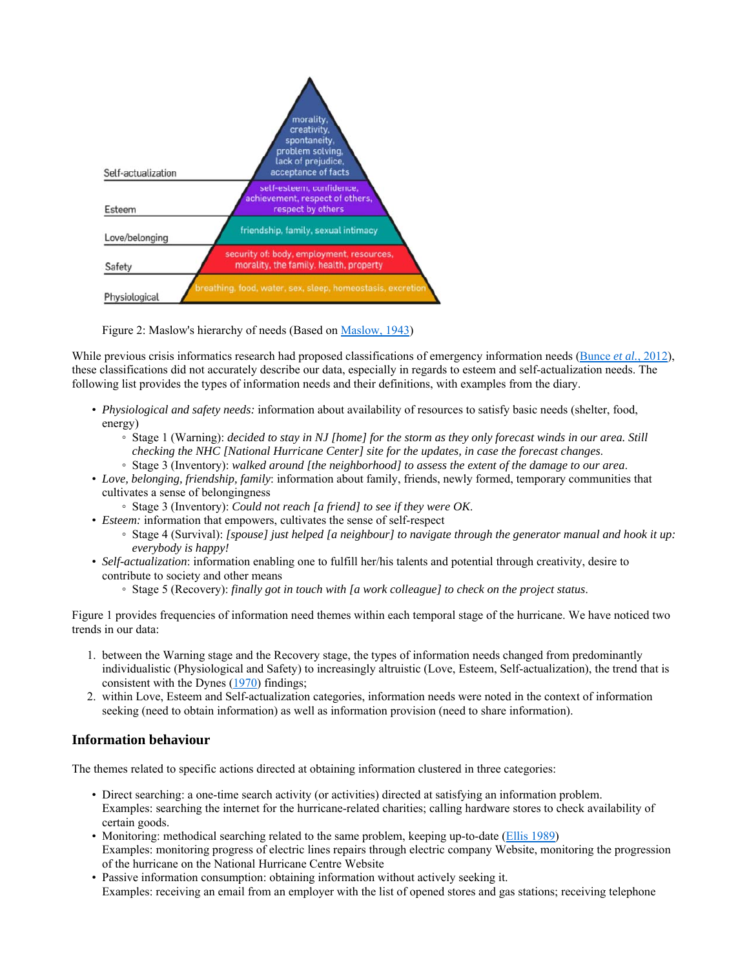

#### Figure 2: Maslow's hierarchy of needs (Based on Maslow, 1943)

While previous crisis informatics research had proposed classifications of emergency information needs (Bunce *et al.*, 2012), these classifications did not accurately describe our data, especially in regards to esteem and self-actualization needs. The following list provides the types of information needs and their definitions, with examples from the diary.

- *Physiological and safety needs:* information about availability of resources to satisfy basic needs (shelter, food, energy)
	- Stage 1 (Warning): *decided to stay in NJ [home] for the storm as they only forecast winds in our area. Still checking the NHC [National Hurricane Center] site for the updates, in case the forecast changes*.
	- Stage 3 (Inventory): *walked around [the neighborhood] to assess the extent of the damage to our area*.
- *Love, belonging, friendship, family*: information about family, friends, newly formed, temporary communities that cultivates a sense of belongingness
	- Stage 3 (Inventory): *Could not reach [a friend] to see if they were OK*.
- *Esteem:* information that empowers, cultivates the sense of self-respect
	- Stage 4 (Survival): *[spouse] just helped [a neighbour] to navigate through the generator manual and hook it up: everybody is happy!*
- *Self-actualization*: information enabling one to fulfill her/his talents and potential through creativity, desire to contribute to society and other means
	- Stage 5 (Recovery): *finally got in touch with [a work colleague] to check on the project status*.

Figure 1 provides frequencies of information need themes within each temporal stage of the hurricane. We have noticed two trends in our data:

- 1. between the Warning stage and the Recovery stage, the types of information needs changed from predominantly individualistic (Physiological and Safety) to increasingly altruistic (Love, Esteem, Self-actualization), the trend that is consistent with the Dynes (1970) findings;
- 2. within Love, Esteem and Self-actualization categories, information needs were noted in the context of information seeking (need to obtain information) as well as information provision (need to share information).

### **Information behaviour**

The themes related to specific actions directed at obtaining information clustered in three categories:

- Direct searching: a one-time search activity (or activities) directed at satisfying an information problem. Examples: searching the internet for the hurricane-related charities; calling hardware stores to check availability of certain goods.
- Monitoring: methodical searching related to the same problem, keeping up-to-date (Ellis 1989) Examples: monitoring progress of electric lines repairs through electric company Website, monitoring the progression of the hurricane on the National Hurricane Centre Website
- Passive information consumption: obtaining information without actively seeking it. Examples: receiving an email from an employer with the list of opened stores and gas stations; receiving telephone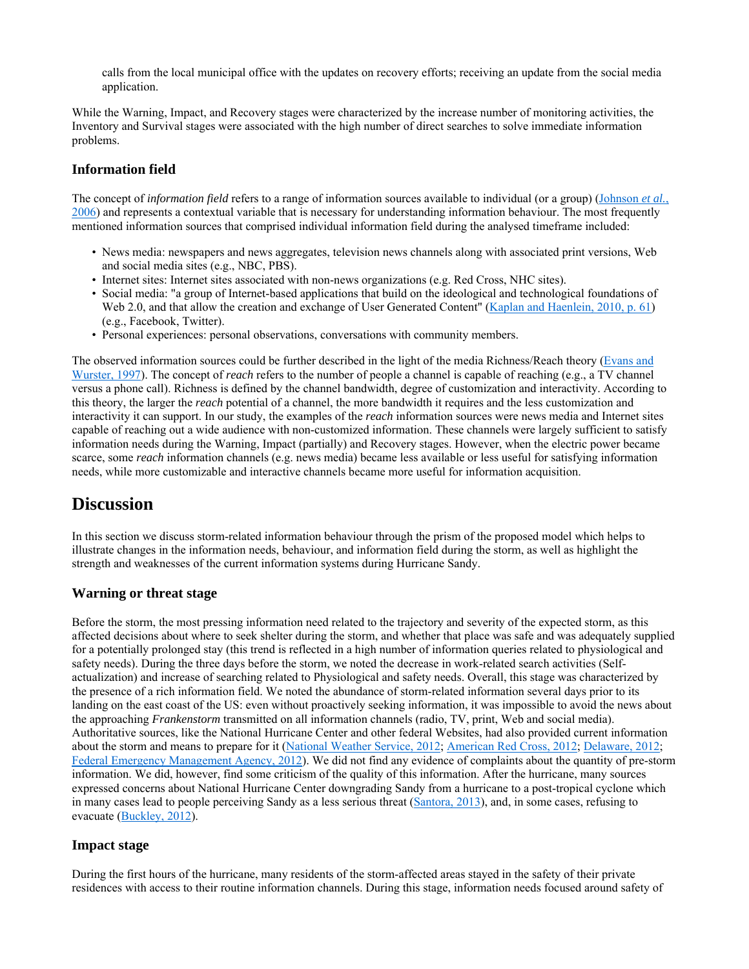calls from the local municipal office with the updates on recovery efforts; receiving an update from the social media application.

While the Warning, Impact, and Recovery stages were characterized by the increase number of monitoring activities, the Inventory and Survival stages were associated with the high number of direct searches to solve immediate information problems.

### **Information field**

The concept of *information field* refers to a range of information sources available to individual (or a group) (Johnson *et al.*, 2006) and represents a contextual variable that is necessary for understanding information behaviour. The most frequently mentioned information sources that comprised individual information field during the analysed timeframe included:

- News media: newspapers and news aggregates, television news channels along with associated print versions, Web and social media sites (e.g., NBC, PBS).
- Internet sites: Internet sites associated with non-news organizations (e.g. Red Cross, NHC sites).
- Social media: "a group of Internet-based applications that build on the ideological and technological foundations of Web 2.0, and that allow the creation and exchange of User Generated Content" (Kaplan and Haenlein, 2010, p. 61) (e.g., Facebook, Twitter).
- Personal experiences: personal observations, conversations with community members.

The observed information sources could be further described in the light of the media Richness/Reach theory (Evans and Wurster, 1997). The concept of *reach* refers to the number of people a channel is capable of reaching (e.g., a TV channel versus a phone call). Richness is defined by the channel bandwidth, degree of customization and interactivity. According to this theory, the larger the *reach* potential of a channel, the more bandwidth it requires and the less customization and interactivity it can support. In our study, the examples of the *reach* information sources were news media and Internet sites capable of reaching out a wide audience with non-customized information. These channels were largely sufficient to satisfy information needs during the Warning, Impact (partially) and Recovery stages. However, when the electric power became scarce, some *reach* information channels (e.g. news media) became less available or less useful for satisfying information needs, while more customizable and interactive channels became more useful for information acquisition.

# **Discussion**

In this section we discuss storm-related information behaviour through the prism of the proposed model which helps to illustrate changes in the information needs, behaviour, and information field during the storm, as well as highlight the strength and weaknesses of the current information systems during Hurricane Sandy.

### **Warning or threat stage**

Before the storm, the most pressing information need related to the trajectory and severity of the expected storm, as this affected decisions about where to seek shelter during the storm, and whether that place was safe and was adequately supplied for a potentially prolonged stay (this trend is reflected in a high number of information queries related to physiological and safety needs). During the three days before the storm, we noted the decrease in work-related search activities (Selfactualization) and increase of searching related to Physiological and safety needs. Overall, this stage was characterized by the presence of a rich information field. We noted the abundance of storm-related information several days prior to its landing on the east coast of the US: even without proactively seeking information, it was impossible to avoid the news about the approaching *Frankenstorm* transmitted on all information channels (radio, TV, print, Web and social media). Authoritative sources, like the National Hurricane Center and other federal Websites, had also provided current information about the storm and means to prepare for it (National Weather Service, 2012; American Red Cross, 2012; Delaware, 2012; Federal Emergency Management Agency, 2012). We did not find any evidence of complaints about the quantity of pre-storm information. We did, however, find some criticism of the quality of this information. After the hurricane, many sources expressed concerns about National Hurricane Center downgrading Sandy from a hurricane to a post-tropical cyclone which in many cases lead to people perceiving Sandy as a less serious threat (Santora, 2013), and, in some cases, refusing to evacuate (Buckley, 2012).

### **Impact stage**

During the first hours of the hurricane, many residents of the storm-affected areas stayed in the safety of their private residences with access to their routine information channels. During this stage, information needs focused around safety of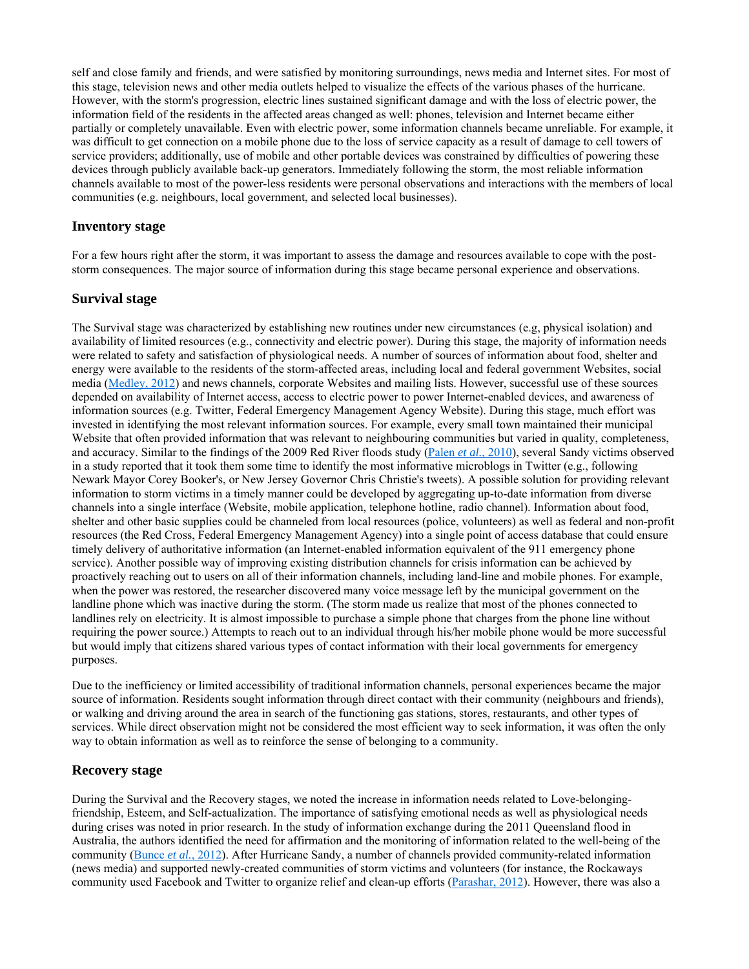self and close family and friends, and were satisfied by monitoring surroundings, news media and Internet sites. For most of this stage, television news and other media outlets helped to visualize the effects of the various phases of the hurricane. However, with the storm's progression, electric lines sustained significant damage and with the loss of electric power, the information field of the residents in the affected areas changed as well: phones, television and Internet became either partially or completely unavailable. Even with electric power, some information channels became unreliable. For example, it was difficult to get connection on a mobile phone due to the loss of service capacity as a result of damage to cell towers of service providers; additionally, use of mobile and other portable devices was constrained by difficulties of powering these devices through publicly available back-up generators. Immediately following the storm, the most reliable information channels available to most of the power-less residents were personal observations and interactions with the members of local communities (e.g. neighbours, local government, and selected local businesses).

#### **Inventory stage**

For a few hours right after the storm, it was important to assess the damage and resources available to cope with the poststorm consequences. The major source of information during this stage became personal experience and observations.

#### **Survival stage**

The Survival stage was characterized by establishing new routines under new circumstances (e.g, physical isolation) and availability of limited resources (e.g., connectivity and electric power). During this stage, the majority of information needs were related to safety and satisfaction of physiological needs. A number of sources of information about food, shelter and energy were available to the residents of the storm-affected areas, including local and federal government Websites, social media (Medley, 2012) and news channels, corporate Websites and mailing lists. However, successful use of these sources depended on availability of Internet access, access to electric power to power Internet-enabled devices, and awareness of information sources (e.g. Twitter, Federal Emergency Management Agency Website). During this stage, much effort was invested in identifying the most relevant information sources. For example, every small town maintained their municipal Website that often provided information that was relevant to neighbouring communities but varied in quality, completeness, and accuracy. Similar to the findings of the 2009 Red River floods study (Palen *et al.*, 2010), several Sandy victims observed in a study reported that it took them some time to identify the most informative microblogs in Twitter (e.g., following Newark Mayor Corey Booker's, or New Jersey Governor Chris Christie's tweets). A possible solution for providing relevant information to storm victims in a timely manner could be developed by aggregating up-to-date information from diverse channels into a single interface (Website, mobile application, telephone hotline, radio channel). Information about food, shelter and other basic supplies could be channeled from local resources (police, volunteers) as well as federal and non-profit resources (the Red Cross, Federal Emergency Management Agency) into a single point of access database that could ensure timely delivery of authoritative information (an Internet-enabled information equivalent of the 911 emergency phone service). Another possible way of improving existing distribution channels for crisis information can be achieved by proactively reaching out to users on all of their information channels, including land-line and mobile phones. For example, when the power was restored, the researcher discovered many voice message left by the municipal government on the landline phone which was inactive during the storm. (The storm made us realize that most of the phones connected to landlines rely on electricity. It is almost impossible to purchase a simple phone that charges from the phone line without requiring the power source.) Attempts to reach out to an individual through his/her mobile phone would be more successful but would imply that citizens shared various types of contact information with their local governments for emergency purposes.

Due to the inefficiency or limited accessibility of traditional information channels, personal experiences became the major source of information. Residents sought information through direct contact with their community (neighbours and friends), or walking and driving around the area in search of the functioning gas stations, stores, restaurants, and other types of services. While direct observation might not be considered the most efficient way to seek information, it was often the only way to obtain information as well as to reinforce the sense of belonging to a community.

#### **Recovery stage**

During the Survival and the Recovery stages, we noted the increase in information needs related to Love-belongingfriendship, Esteem, and Self-actualization. The importance of satisfying emotional needs as well as physiological needs during crises was noted in prior research. In the study of information exchange during the 2011 Queensland flood in Australia, the authors identified the need for affirmation and the monitoring of information related to the well-being of the community (Bunce *et al.*, 2012). After Hurricane Sandy, a number of channels provided community-related information (news media) and supported newly-created communities of storm victims and volunteers (for instance, the Rockaways community used Facebook and Twitter to organize relief and clean-up efforts (Parashar, 2012). However, there was also a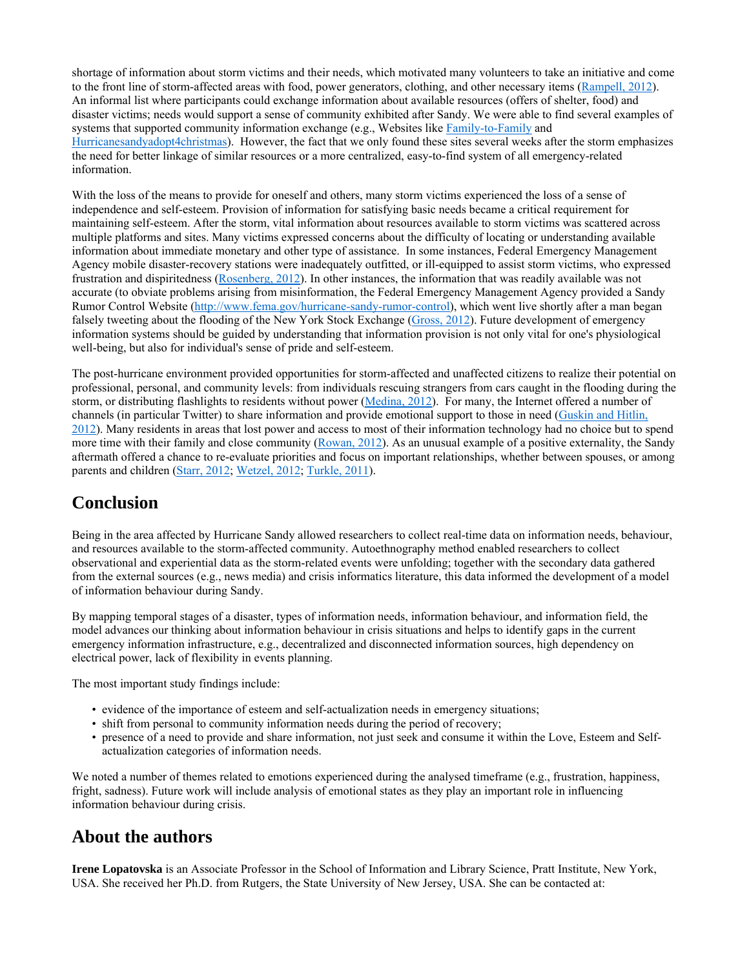shortage of information about storm victims and their needs, which motivated many volunteers to take an initiative and come to the front line of storm-affected areas with food, power generators, clothing, and other necessary items (Rampell, 2012). An informal list where participants could exchange information about available resources (offers of shelter, food) and disaster victims; needs would support a sense of community exhibited after Sandy. We were able to find several examples of systems that supported community information exchange (e.g., Websites like Family-to-Family and Hurricanesandyadopt4christmas). However, the fact that we only found these sites several weeks after the storm emphasizes the need for better linkage of similar resources or a more centralized, easy-to-find system of all emergency-related information.

With the loss of the means to provide for oneself and others, many storm victims experienced the loss of a sense of independence and self-esteem. Provision of information for satisfying basic needs became a critical requirement for maintaining self-esteem. After the storm, vital information about resources available to storm victims was scattered across multiple platforms and sites. Many victims expressed concerns about the difficulty of locating or understanding available information about immediate monetary and other type of assistance. In some instances, Federal Emergency Management Agency mobile disaster-recovery stations were inadequately outfitted, or ill-equipped to assist storm victims, who expressed frustration and dispiritedness (Rosenberg, 2012). In other instances, the information that was readily available was not accurate (to obviate problems arising from misinformation, the Federal Emergency Management Agency provided a Sandy Rumor Control Website (http://www.fema.gov/hurricane-sandy-rumor-control), which went live shortly after a man began falsely tweeting about the flooding of the New York Stock Exchange (Gross, 2012). Future development of emergency information systems should be guided by understanding that information provision is not only vital for one's physiological well-being, but also for individual's sense of pride and self-esteem.

The post-hurricane environment provided opportunities for storm-affected and unaffected citizens to realize their potential on professional, personal, and community levels: from individuals rescuing strangers from cars caught in the flooding during the storm, or distributing flashlights to residents without power (Medina, 2012). For many, the Internet offered a number of channels (in particular Twitter) to share information and provide emotional support to those in need (Guskin and Hitlin, 2012). Many residents in areas that lost power and access to most of their information technology had no choice but to spend more time with their family and close community (Rowan, 2012). As an unusual example of a positive externality, the Sandy aftermath offered a chance to re-evaluate priorities and focus on important relationships, whether between spouses, or among parents and children (Starr, 2012; Wetzel, 2012; Turkle, 2011).

# **Conclusion**

Being in the area affected by Hurricane Sandy allowed researchers to collect real-time data on information needs, behaviour, and resources available to the storm-affected community. Autoethnography method enabled researchers to collect observational and experiential data as the storm-related events were unfolding; together with the secondary data gathered from the external sources (e.g., news media) and crisis informatics literature, this data informed the development of a model of information behaviour during Sandy.

By mapping temporal stages of a disaster, types of information needs, information behaviour, and information field, the model advances our thinking about information behaviour in crisis situations and helps to identify gaps in the current emergency information infrastructure, e.g., decentralized and disconnected information sources, high dependency on electrical power, lack of flexibility in events planning.

The most important study findings include:

- evidence of the importance of esteem and self-actualization needs in emergency situations;
- shift from personal to community information needs during the period of recovery;
- presence of a need to provide and share information, not just seek and consume it within the Love, Esteem and Selfactualization categories of information needs.

We noted a number of themes related to emotions experienced during the analysed timeframe (e.g., frustration, happiness, fright, sadness). Future work will include analysis of emotional states as they play an important role in influencing information behaviour during crisis.

# **About the authors**

**Irene Lopatovska** is an Associate Professor in the School of Information and Library Science, Pratt Institute, New York, USA. She received her Ph.D. from Rutgers, the State University of New Jersey, USA. She can be contacted at: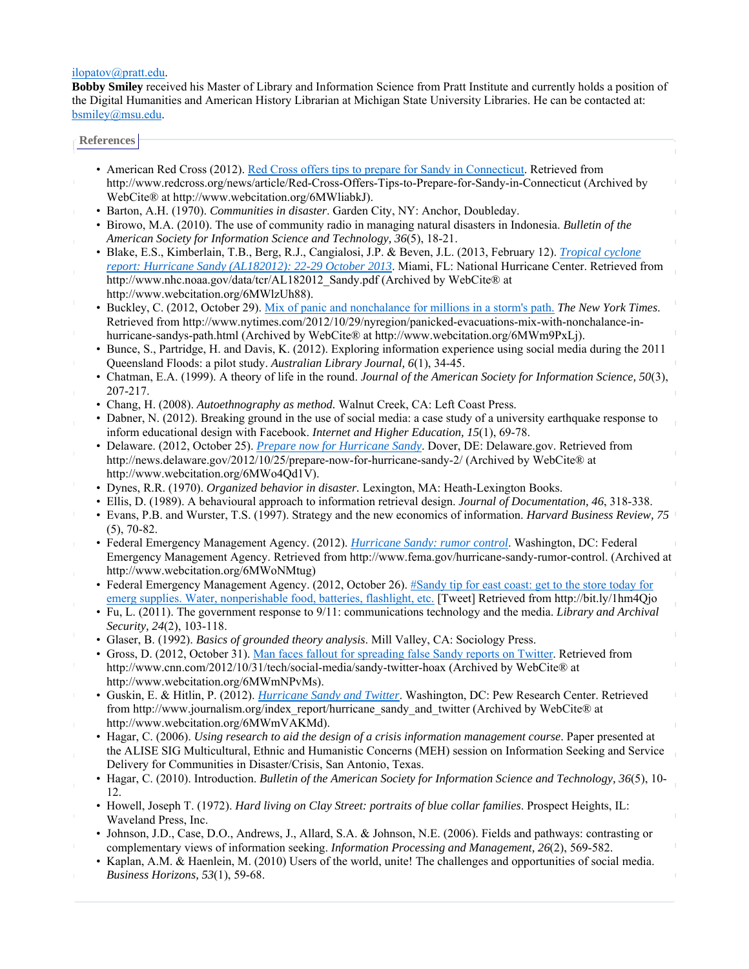#### ilopatov@pratt.edu.

**Bobby Smiley** received his Master of Library and Information Science from Pratt Institute and currently holds a position of the Digital Humanities and American History Librarian at Michigan State University Libraries. He can be contacted at: bsmiley@msu.edu.

#### **References**

- American Red Cross (2012). Red Cross offers tips to prepare for Sandy in Connecticut. Retrieved from http://www.redcross.org/news/article/Red-Cross-Offers-Tips-to-Prepare-for-Sandy-in-Connecticut (Archived by WebCite® at http://www.webcitation.org/6MWliabkJ).
- Barton, A.H. (1970). *Communities in disaster*. Garden City, NY: Anchor, Doubleday.
- Birowo, M.A. (2010). The use of community radio in managing natural disasters in Indonesia. *Bulletin of the American Society for Information Science and Technology, 36*(5), 18-21.
- Blake, E.S., Kimberlain, T.B., Berg, R.J., Cangialosi, J.P. & Beven, J.L. (2013, February 12). *Tropical cyclone report: Hurricane Sandy (AL182012): 22-29 October 2013*. Miami, FL: National Hurricane Center. Retrieved from http://www.nhc.noaa.gov/data/tcr/AL182012\_Sandy.pdf (Archived by WebCite® at http://www.webcitation.org/6MWlzUh88).
- Buckley, C. (2012, October 29). Mix of panic and nonchalance for millions in a storm's path. *The New York Times*. Retrieved from http://www.nytimes.com/2012/10/29/nyregion/panicked-evacuations-mix-with-nonchalance-inhurricane-sandys-path.html (Archived by WebCite® at http://www.webcitation.org/6MWm9PxLj).
- Bunce, S., Partridge, H. and Davis, K. (2012). Exploring information experience using social media during the 2011 Queensland Floods: a pilot study. *Australian Library Journal, 6*(1), 34-45.
- Chatman, E.A. (1999). A theory of life in the round. *Journal of the American Society for Information Science, 50*(3), 207-217.
- Chang, H. (2008). *Autoethnography as method.* Walnut Creek, CA: Left Coast Press.
- Dabner, N. (2012). Breaking ground in the use of social media: a case study of a university earthquake response to inform educational design with Facebook. *Internet and Higher Education, 15*(1), 69-78.
- Delaware. (2012, October 25). *Prepare now for Hurricane Sandy*. Dover, DE: Delaware.gov. Retrieved from http://news.delaware.gov/2012/10/25/prepare-now-for-hurricane-sandy-2/ (Archived by WebCite® at http://www.webcitation.org/6MWo4Qd1V).
- Dynes, R.R. (1970). *Organized behavior in disaster.* Lexington, MA: Heath-Lexington Books.
- Ellis, D. (1989). A behavioural approach to information retrieval design. *Journal of Documentation, 46*, 318-338.
- Evans, P.B. and Wurster, T.S. (1997). Strategy and the new economics of information. *Harvard Business Review, 75* (5), 70-82.
- Federal Emergency Management Agency. (2012). *Hurricane Sandy: rumor control*. Washington, DC: Federal Emergency Management Agency. Retrieved from http://www.fema.gov/hurricane-sandy-rumor-control. (Archived at http://www.webcitation.org/6MWoNMtug)
- Federal Emergency Management Agency. (2012, October 26). #Sandy tip for east coast: get to the store today for emerg supplies. Water, nonperishable food, batteries, flashlight, etc. [Tweet] Retrieved from http://bit.ly/1hm4Qjo
- Fu, L. (2011). The government response to 9/11: communications technology and the media. *Library and Archival Security, 24*(2), 103-118.
- Glaser, B. (1992). *Basics of grounded theory analysis*. Mill Valley, CA: Sociology Press.
- Gross, D. (2012, October 31). Man faces fallout for spreading false Sandy reports on Twitter. Retrieved from http://www.cnn.com/2012/10/31/tech/social-media/sandy-twitter-hoax (Archived by WebCite® at http://www.webcitation.org/6MWmNPvMs).
- Guskin, E. & Hitlin, P. (2012). *Hurricane Sandy and Twitter*. Washington, DC: Pew Research Center. Retrieved from http://www.journalism.org/index\_report/hurricane\_sandy\_and\_twitter (Archived by WebCite® at http://www.webcitation.org/6MWmVAKMd).
- Hagar, C. (2006). *Using research to aid the design of a crisis information management course*. Paper presented at the ALISE SIG Multicultural, Ethnic and Humanistic Concerns (MEH) session on Information Seeking and Service Delivery for Communities in Disaster/Crisis, San Antonio, Texas.
- Hagar, C. (2010). Introduction. *Bulletin of the American Society for Information Science and Technology, 36*(5), 10- 12.
- Howell, Joseph T. (1972). *Hard living on Clay Street: portraits of blue collar families*. Prospect Heights, IL: Waveland Press, Inc.
- Johnson, J.D., Case, D.O., Andrews, J., Allard, S.A. & Johnson, N.E. (2006). Fields and pathways: contrasting or complementary views of information seeking. *Information Processing and Management, 26*(2), 569-582.
- Kaplan, A.M. & Haenlein, M. (2010) Users of the world, unite! The challenges and opportunities of social media. *Business Horizons, 53*(1), 59-68.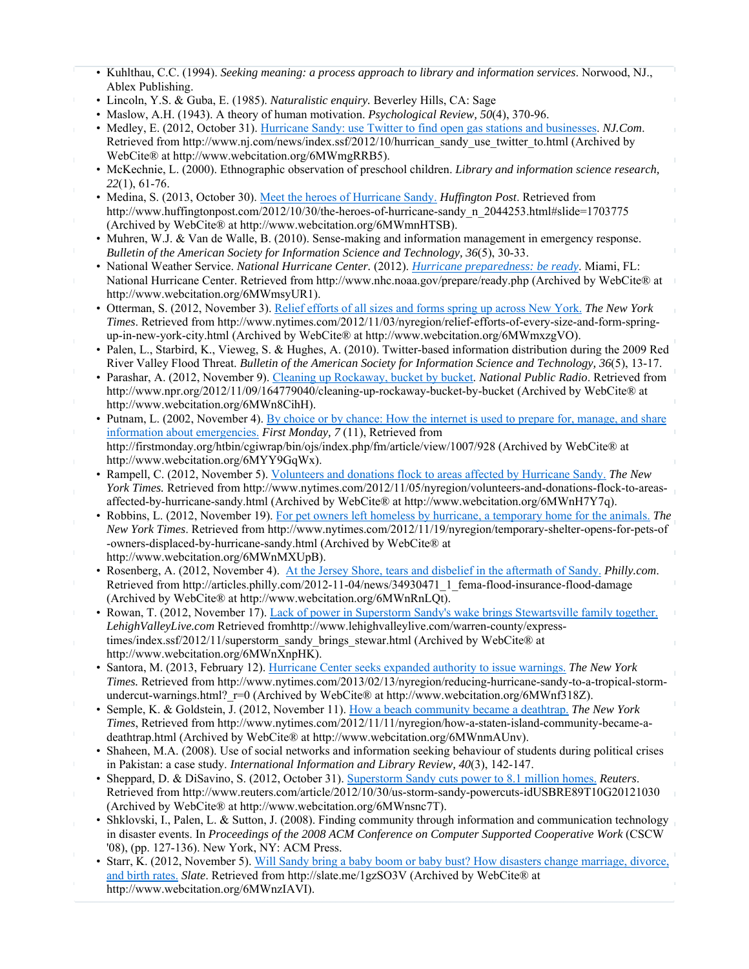- Kuhlthau, C.C. (1994). *Seeking meaning: a process approach to library and information services*. Norwood, NJ., Ablex Publishing.
- Lincoln, Y.S. & Guba, E. (1985). *Naturalistic enquiry.* Beverley Hills, CA: Sage
- Maslow, A.H. (1943). A theory of human motivation. *Psychological Review, 50*(4), 370-96.
- Medley, E. (2012, October 31). Hurricane Sandy: use Twitter to find open gas stations and businesses. *NJ.Com*. Retrieved from http://www.nj.com/news/index.ssf/2012/10/hurrican\_sandy\_use\_twitter\_to.html (Archived by WebCite® at http://www.webcitation.org/6MWmgRRB5).
- McKechnie, L. (2000). Ethnographic observation of preschool children. *Library and information science research, 22*(1), 61-76.
- Medina, S. (2013, October 30). Meet the heroes of Hurricane Sandy. *Huffington Post*. Retrieved from http://www.huffingtonpost.com/2012/10/30/the-heroes-of-hurricane-sandy\_n\_2044253.html#slide=1703775 (Archived by WebCite® at http://www.webcitation.org/6MWmnHTSB).
- Muhren, W.J. & Van de Walle, B. (2010). Sense-making and information management in emergency response. *Bulletin of the American Society for Information Science and Technology, 36*(5), 30-33.
- National Weather Service. *National Hurricane Center.* (2012). *Hurricane preparedness: be ready*. Miami, FL: National Hurricane Center. Retrieved from http://www.nhc.noaa.gov/prepare/ready.php (Archived by WebCite® at http://www.webcitation.org/6MWmsyUR1).
- Otterman, S. (2012, November 3). Relief efforts of all sizes and forms spring up across New York. *The New York Times*. Retrieved from http://www.nytimes.com/2012/11/03/nyregion/relief-efforts-of-every-size-and-form-springup-in-new-york-city.html (Archived by WebCite® at http://www.webcitation.org/6MWmxzgVO).
- Palen, L., Starbird, K., Vieweg, S. & Hughes, A. (2010). Twitter-based information distribution during the 2009 Red River Valley Flood Threat. *Bulletin of the American Society for Information Science and Technology, 36*(5), 13-17.
- Parashar, A. (2012, November 9). Cleaning up Rockaway, bucket by bucket. *National Public Radio*. Retrieved from http://www.npr.org/2012/11/09/164779040/cleaning-up-rockaway-bucket-by-bucket (Archived by WebCite® at http://www.webcitation.org/6MWn8CihH).
- Putnam, L. (2002, November 4). By choice or by chance: How the internet is used to prepare for, manage, and share information about emergencies. *First Monday, 7* (11), Retrieved from http://firstmonday.org/htbin/cgiwrap/bin/ojs/index.php/fm/article/view/1007/928 (Archived by WebCite® at http://www.webcitation.org/6MYY9GqWx).
- Rampell, C. (2012, November 5). Volunteers and donations flock to areas affected by Hurricane Sandy. *The New York Times.* Retrieved from http://www.nytimes.com/2012/11/05/nyregion/volunteers-and-donations-flock-to-areasaffected-by-hurricane-sandy.html (Archived by WebCite® at http://www.webcitation.org/6MWnH7Y7q).
- Robbins, L. (2012, November 19). For pet owners left homeless by hurricane, a temporary home for the animals. *The New York Times*. Retrieved from http://www.nytimes.com/2012/11/19/nyregion/temporary-shelter-opens-for-pets-of -owners-displaced-by-hurricane-sandy.html (Archived by WebCite® at http://www.webcitation.org/6MWnMXUpB).
- Rosenberg, A. (2012, November 4). At the Jersey Shore, tears and disbelief in the aftermath of Sandy. *Philly.com*. Retrieved from http://articles.philly.com/2012-11-04/news/34930471\_1\_fema-flood-insurance-flood-damage (Archived by WebCite® at http://www.webcitation.org/6MWnRnLQt).
- Rowan, T. (2012, November 17). Lack of power in Superstorm Sandy's wake brings Stewartsville family together. *LehighValleyLive.com* Retrieved fromhttp://www.lehighvalleylive.com/warren-county/expresstimes/index.ssf/2012/11/superstorm\_sandy\_brings\_stewar.html (Archived by WebCite® at http://www.webcitation.org/6MWnXnpHK).
- Santora, M. (2013, February 12). Hurricane Center seeks expanded authority to issue warnings. *The New York Times.* Retrieved from http://www.nytimes.com/2013/02/13/nyregion/reducing-hurricane-sandy-to-a-tropical-stormundercut-warnings.html?  $r=0$  (Archived by WebCite® at http://www.webcitation.org/6MWnf318Z).
- Semple, K. & Goldstein, J. (2012, November 11). How a beach community became a deathtrap. *The New York Times*, Retrieved from http://www.nytimes.com/2012/11/11/nyregion/how-a-staten-island-community-became-adeathtrap.html (Archived by WebCite® at http://www.webcitation.org/6MWnmAUnv).
- Shaheen, M.A. (2008). Use of social networks and information seeking behaviour of students during political crises in Pakistan: a case study. *International Information and Library Review, 40*(3), 142-147.
- Sheppard, D. & DiSavino, S. (2012, October 31). Superstorm Sandy cuts power to 8.1 million homes. *Reuters*. Retrieved from http://www.reuters.com/article/2012/10/30/us-storm-sandy-powercuts-idUSBRE89T10G20121030 (Archived by WebCite® at http://www.webcitation.org/6MWnsnc7T).
- Shklovski, I., Palen, L. & Sutton, J. (2008). Finding community through information and communication technology in disaster events. In *Proceedings of the 2008 ACM Conference on Computer Supported Cooperative Work* (CSCW '08), (pp. 127-136). New York, NY: ACM Press.
- Starr, K. (2012, November 5). Will Sandy bring a baby boom or baby bust? How disasters change marriage, divorce, and birth rates. *Slate*. Retrieved from http://slate.me/1gzSO3V (Archived by WebCite® at http://www.webcitation.org/6MWnzIAVI).